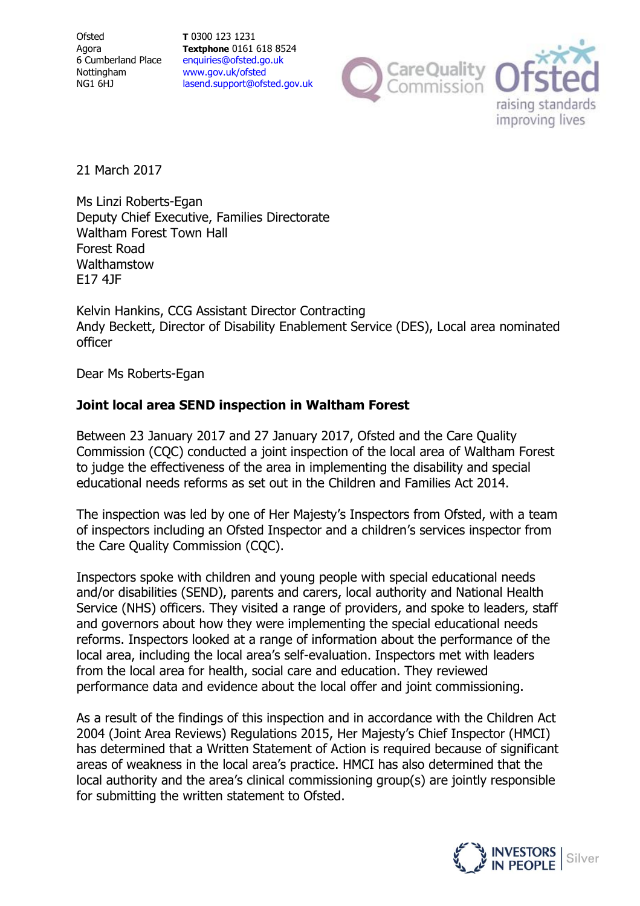**Ofsted** Agora 6 Cumberland Place Nottingham NG1 6HJ

**T** 0300 123 1231 **Textphone** 0161 618 8524 enquiries@ofsted.go.uk www.gov.uk/ofsted lasend.support@ofsted.gov.uk



21 March 2017

Ms Linzi Roberts-Egan Deputy Chief Executive, Families Directorate Waltham Forest Town Hall Forest Road Walthamstow E17 4JF

Kelvin Hankins, CCG Assistant Director Contracting Andy Beckett, Director of Disability Enablement Service (DES), Local area nominated officer

Dear Ms Roberts-Egan

## **Joint local area SEND inspection in Waltham Forest**

Between 23 January 2017 and 27 January 2017, Ofsted and the Care Quality Commission (CQC) conducted a joint inspection of the local area of Waltham Forest to judge the effectiveness of the area in implementing the disability and special educational needs reforms as set out in the Children and Families Act 2014.

The inspection was led by one of Her Majesty's Inspectors from Ofsted, with a team of inspectors including an Ofsted Inspector and a children's services inspector from the Care Quality Commission (CQC).

Inspectors spoke with children and young people with special educational needs and/or disabilities (SEND), parents and carers, local authority and National Health Service (NHS) officers. They visited a range of providers, and spoke to leaders, staff and governors about how they were implementing the special educational needs reforms. Inspectors looked at a range of information about the performance of the local area, including the local area's self-evaluation. Inspectors met with leaders from the local area for health, social care and education. They reviewed performance data and evidence about the local offer and joint commissioning.

As a result of the findings of this inspection and in accordance with the Children Act 2004 (Joint Area Reviews) Regulations 2015, Her Majesty's Chief Inspector (HMCI) has determined that a Written Statement of Action is required because of significant areas of weakness in the local area's practice. HMCI has also determined that the local authority and the area's clinical commissioning group(s) are jointly responsible for submitting the written statement to Ofsted.

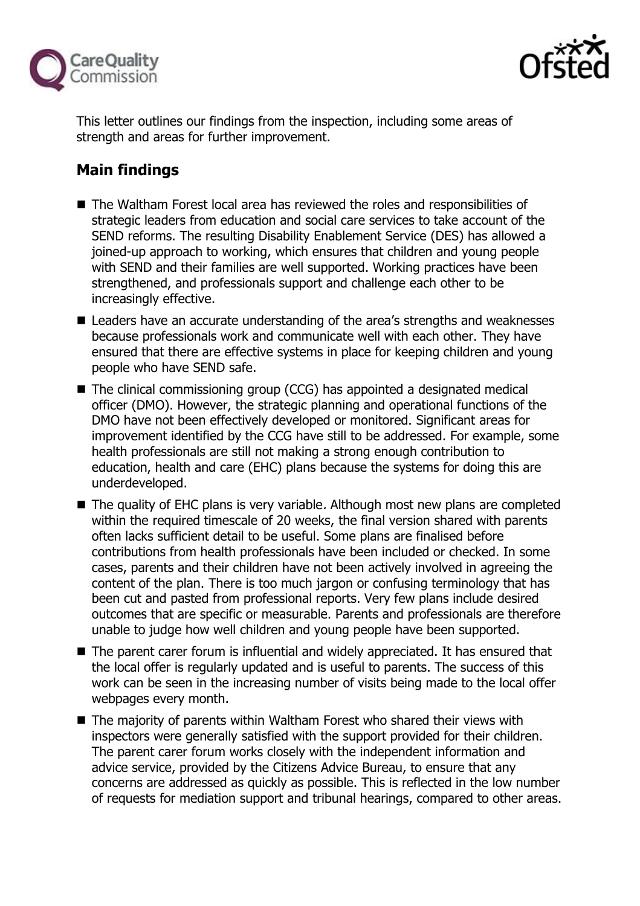



This letter outlines our findings from the inspection, including some areas of strength and areas for further improvement.

# **Main findings**

- The Waltham Forest local area has reviewed the roles and responsibilities of strategic leaders from education and social care services to take account of the SEND reforms. The resulting Disability Enablement Service (DES) has allowed a joined-up approach to working, which ensures that children and young people with SEND and their families are well supported. Working practices have been strengthened, and professionals support and challenge each other to be increasingly effective.
- Leaders have an accurate understanding of the area's strengths and weaknesses because professionals work and communicate well with each other. They have ensured that there are effective systems in place for keeping children and young people who have SEND safe.
- The clinical commissioning group (CCG) has appointed a designated medical officer (DMO). However, the strategic planning and operational functions of the DMO have not been effectively developed or monitored. Significant areas for improvement identified by the CCG have still to be addressed. For example, some health professionals are still not making a strong enough contribution to education, health and care (EHC) plans because the systems for doing this are underdeveloped.
- The quality of EHC plans is very variable. Although most new plans are completed within the required timescale of 20 weeks, the final version shared with parents often lacks sufficient detail to be useful. Some plans are finalised before contributions from health professionals have been included or checked. In some cases, parents and their children have not been actively involved in agreeing the content of the plan. There is too much jargon or confusing terminology that has been cut and pasted from professional reports. Very few plans include desired outcomes that are specific or measurable. Parents and professionals are therefore unable to judge how well children and young people have been supported.
- The parent carer forum is influential and widely appreciated. It has ensured that the local offer is regularly updated and is useful to parents. The success of this work can be seen in the increasing number of visits being made to the local offer webpages every month.
- The majority of parents within Waltham Forest who shared their views with inspectors were generally satisfied with the support provided for their children. The parent carer forum works closely with the independent information and advice service, provided by the Citizens Advice Bureau, to ensure that any concerns are addressed as quickly as possible. This is reflected in the low number of requests for mediation support and tribunal hearings, compared to other areas.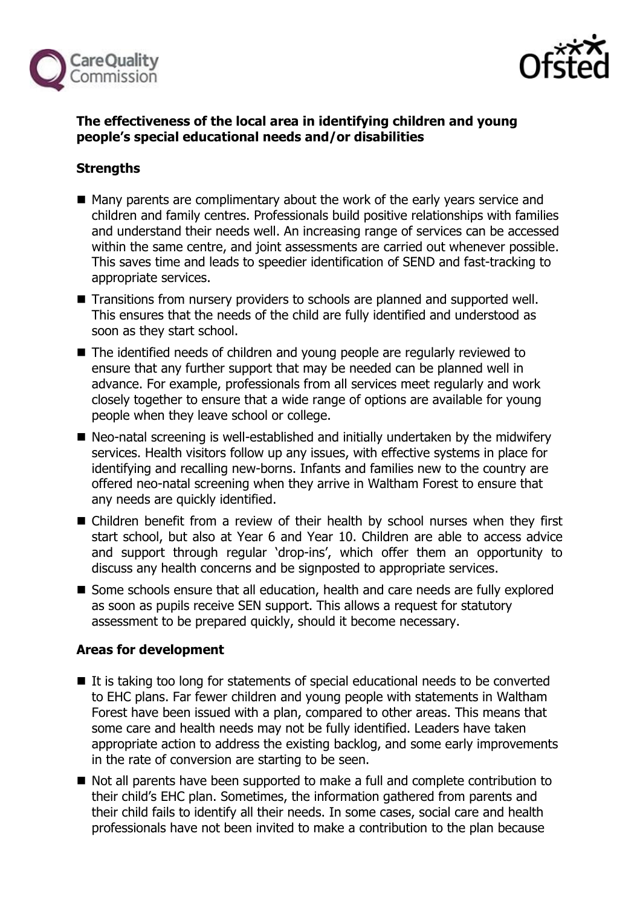



## **The effectiveness of the local area in identifying children and young people's special educational needs and/or disabilities**

## **Strengths**

- Many parents are complimentary about the work of the early years service and children and family centres. Professionals build positive relationships with families and understand their needs well. An increasing range of services can be accessed within the same centre, and joint assessments are carried out whenever possible. This saves time and leads to speedier identification of SEND and fast-tracking to appropriate services.
- Transitions from nursery providers to schools are planned and supported well. This ensures that the needs of the child are fully identified and understood as soon as they start school.
- The identified needs of children and young people are regularly reviewed to ensure that any further support that may be needed can be planned well in advance. For example, professionals from all services meet regularly and work closely together to ensure that a wide range of options are available for young people when they leave school or college.
- Neo-natal screening is well-established and initially undertaken by the midwifery services. Health visitors follow up any issues, with effective systems in place for identifying and recalling new-borns. Infants and families new to the country are offered neo-natal screening when they arrive in Waltham Forest to ensure that any needs are quickly identified.
- Children benefit from a review of their health by school nurses when they first start school, but also at Year 6 and Year 10. Children are able to access advice and support through regular 'drop-ins', which offer them an opportunity to discuss any health concerns and be signposted to appropriate services.
- Some schools ensure that all education, health and care needs are fully explored as soon as pupils receive SEN support. This allows a request for statutory assessment to be prepared quickly, should it become necessary.

## **Areas for development**

- It is taking too long for statements of special educational needs to be converted to EHC plans. Far fewer children and young people with statements in Waltham Forest have been issued with a plan, compared to other areas. This means that some care and health needs may not be fully identified. Leaders have taken appropriate action to address the existing backlog, and some early improvements in the rate of conversion are starting to be seen.
- Not all parents have been supported to make a full and complete contribution to their child's EHC plan. Sometimes, the information gathered from parents and their child fails to identify all their needs. In some cases, social care and health professionals have not been invited to make a contribution to the plan because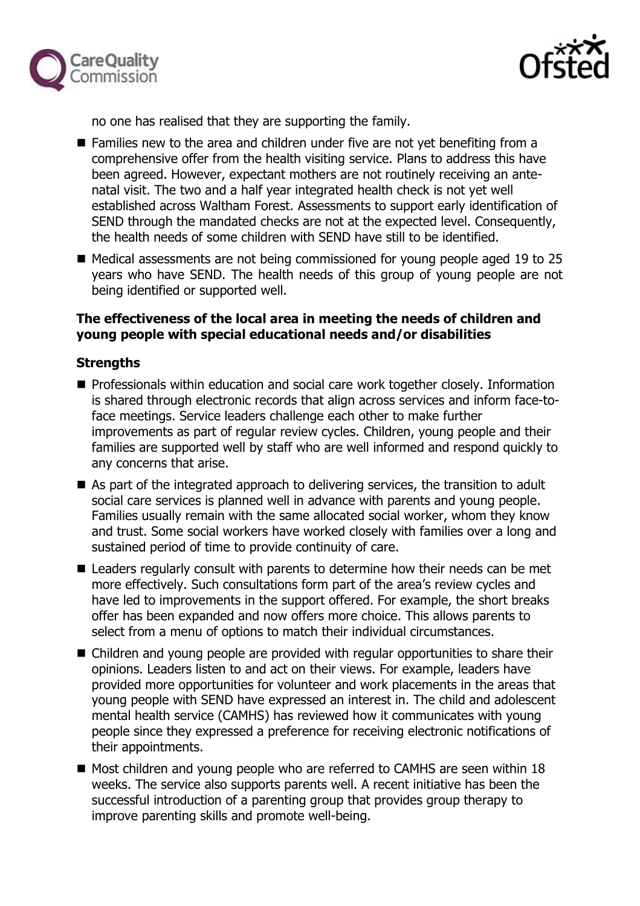



no one has realised that they are supporting the family.

- Families new to the area and children under five are not yet benefiting from a comprehensive offer from the health visiting service. Plans to address this have been agreed. However, expectant mothers are not routinely receiving an antenatal visit. The two and a half year integrated health check is not yet well established across Waltham Forest. Assessments to support early identification of SEND through the mandated checks are not at the expected level. Consequently, the health needs of some children with SEND have still to be identified.
- Medical assessments are not being commissioned for young people aged 19 to 25 years who have SEND. The health needs of this group of young people are not being identified or supported well.

## **The effectiveness of the local area in meeting the needs of children and young people with special educational needs and/or disabilities**

#### **Strengths**

- **Professionals within education and social care work together closely. Information** is shared through electronic records that align across services and inform face-toface meetings. Service leaders challenge each other to make further improvements as part of regular review cycles. Children, young people and their families are supported well by staff who are well informed and respond quickly to any concerns that arise.
- As part of the integrated approach to delivering services, the transition to adult social care services is planned well in advance with parents and young people. Families usually remain with the same allocated social worker, whom they know and trust. Some social workers have worked closely with families over a long and sustained period of time to provide continuity of care.
- Leaders regularly consult with parents to determine how their needs can be met more effectively. Such consultations form part of the area's review cycles and have led to improvements in the support offered. For example, the short breaks offer has been expanded and now offers more choice. This allows parents to select from a menu of options to match their individual circumstances.
- Children and young people are provided with regular opportunities to share their opinions. Leaders listen to and act on their views. For example, leaders have provided more opportunities for volunteer and work placements in the areas that young people with SEND have expressed an interest in. The child and adolescent mental health service (CAMHS) has reviewed how it communicates with young people since they expressed a preference for receiving electronic notifications of their appointments.
- Most children and young people who are referred to CAMHS are seen within 18 weeks. The service also supports parents well. A recent initiative has been the successful introduction of a parenting group that provides group therapy to improve parenting skills and promote well-being.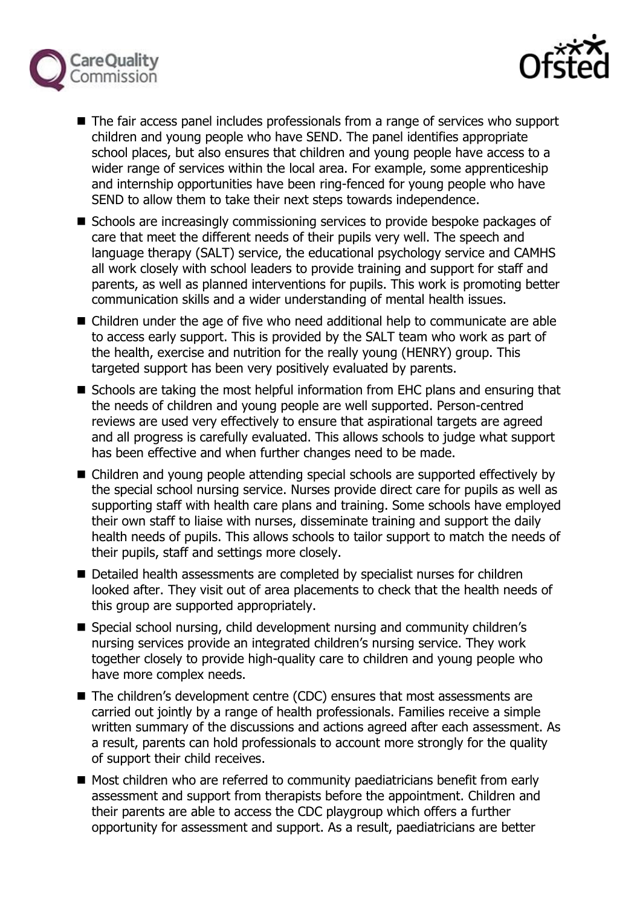



- The fair access panel includes professionals from a range of services who support children and young people who have SEND. The panel identifies appropriate school places, but also ensures that children and young people have access to a wider range of services within the local area. For example, some apprenticeship and internship opportunities have been ring-fenced for young people who have SEND to allow them to take their next steps towards independence.
- Schools are increasingly commissioning services to provide bespoke packages of care that meet the different needs of their pupils very well. The speech and language therapy (SALT) service, the educational psychology service and CAMHS all work closely with school leaders to provide training and support for staff and parents, as well as planned interventions for pupils. This work is promoting better communication skills and a wider understanding of mental health issues.
- Children under the age of five who need additional help to communicate are able to access early support. This is provided by the SALT team who work as part of the health, exercise and nutrition for the really young (HENRY) group. This targeted support has been very positively evaluated by parents.
- Schools are taking the most helpful information from EHC plans and ensuring that the needs of children and young people are well supported. Person-centred reviews are used very effectively to ensure that aspirational targets are agreed and all progress is carefully evaluated. This allows schools to judge what support has been effective and when further changes need to be made.
- Children and young people attending special schools are supported effectively by the special school nursing service. Nurses provide direct care for pupils as well as supporting staff with health care plans and training. Some schools have employed their own staff to liaise with nurses, disseminate training and support the daily health needs of pupils. This allows schools to tailor support to match the needs of their pupils, staff and settings more closely.
- Detailed health assessments are completed by specialist nurses for children looked after. They visit out of area placements to check that the health needs of this group are supported appropriately.
- Special school nursing, child development nursing and community children's nursing services provide an integrated children's nursing service. They work together closely to provide high-quality care to children and young people who have more complex needs.
- The children's development centre (CDC) ensures that most assessments are carried out jointly by a range of health professionals. Families receive a simple written summary of the discussions and actions agreed after each assessment. As a result, parents can hold professionals to account more strongly for the quality of support their child receives.
- Most children who are referred to community paediatricians benefit from early assessment and support from therapists before the appointment. Children and their parents are able to access the CDC playgroup which offers a further opportunity for assessment and support. As a result, paediatricians are better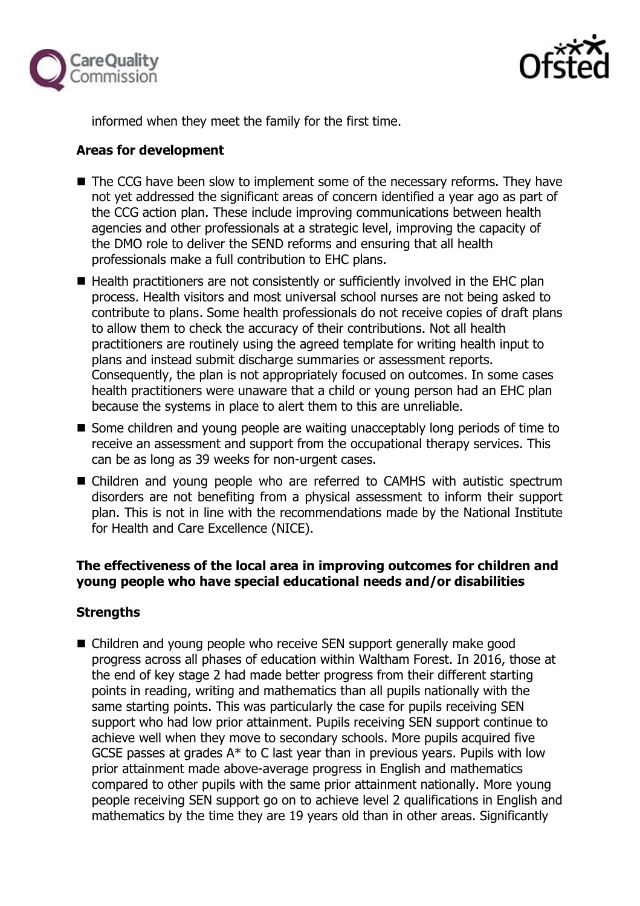



informed when they meet the family for the first time.

## **Areas for development**

- The CCG have been slow to implement some of the necessary reforms. They have not yet addressed the significant areas of concern identified a year ago as part of the CCG action plan. These include improving communications between health agencies and other professionals at a strategic level, improving the capacity of the DMO role to deliver the SEND reforms and ensuring that all health professionals make a full contribution to EHC plans.
- $\blacksquare$  Health practitioners are not consistently or sufficiently involved in the EHC plan process. Health visitors and most universal school nurses are not being asked to contribute to plans. Some health professionals do not receive copies of draft plans to allow them to check the accuracy of their contributions. Not all health practitioners are routinely using the agreed template for writing health input to plans and instead submit discharge summaries or assessment reports. Consequently, the plan is not appropriately focused on outcomes. In some cases health practitioners were unaware that a child or young person had an EHC plan because the systems in place to alert them to this are unreliable.
- Some children and young people are waiting unacceptably long periods of time to receive an assessment and support from the occupational therapy services. This can be as long as 39 weeks for non-urgent cases.
- Children and young people who are referred to CAMHS with autistic spectrum disorders are not benefiting from a physical assessment to inform their support plan. This is not in line with the recommendations made by the National Institute for Health and Care Excellence (NICE).

## **The effectiveness of the local area in improving outcomes for children and young people who have special educational needs and/or disabilities**

## **Strengths**

■ Children and young people who receive SEN support generally make good progress across all phases of education within Waltham Forest. In 2016, those at the end of key stage 2 had made better progress from their different starting points in reading, writing and mathematics than all pupils nationally with the same starting points. This was particularly the case for pupils receiving SEN support who had low prior attainment. Pupils receiving SEN support continue to achieve well when they move to secondary schools. More pupils acquired five GCSE passes at grades A\* to C last year than in previous years. Pupils with low prior attainment made above-average progress in English and mathematics compared to other pupils with the same prior attainment nationally. More young people receiving SEN support go on to achieve level 2 qualifications in English and mathematics by the time they are 19 years old than in other areas. Significantly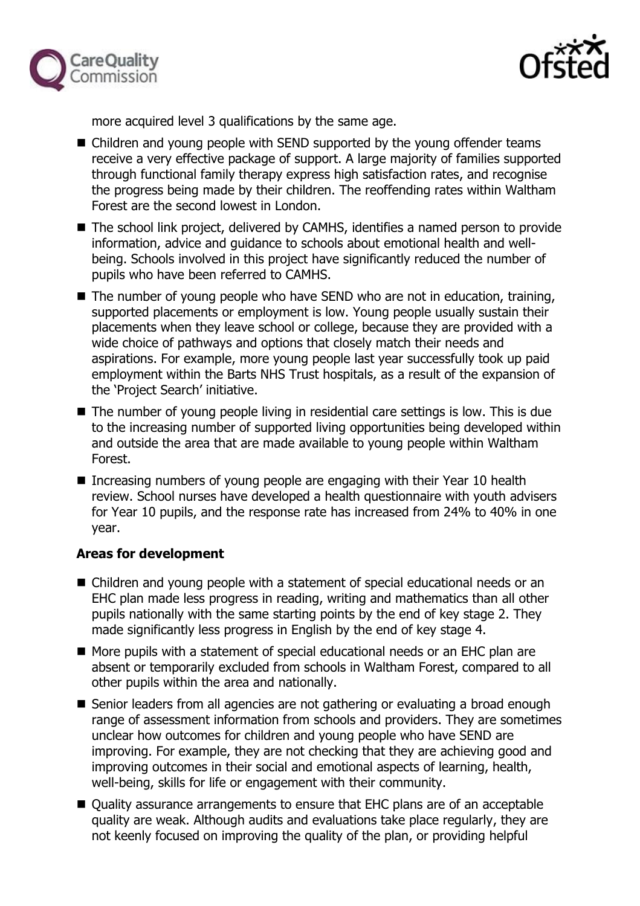



more acquired level 3 qualifications by the same age.

- Children and young people with SEND supported by the young offender teams receive a very effective package of support. A large majority of families supported through functional family therapy express high satisfaction rates, and recognise the progress being made by their children. The reoffending rates within Waltham Forest are the second lowest in London.
- The school link project, delivered by CAMHS, identifies a named person to provide information, advice and guidance to schools about emotional health and wellbeing. Schools involved in this project have significantly reduced the number of pupils who have been referred to CAMHS.
- The number of young people who have SEND who are not in education, training, supported placements or employment is low. Young people usually sustain their placements when they leave school or college, because they are provided with a wide choice of pathways and options that closely match their needs and aspirations. For example, more young people last year successfully took up paid employment within the Barts NHS Trust hospitals, as a result of the expansion of the 'Project Search' initiative.
- The number of young people living in residential care settings is low. This is due to the increasing number of supported living opportunities being developed within and outside the area that are made available to young people within Waltham Forest.
- Increasing numbers of young people are engaging with their Year 10 health review. School nurses have developed a health questionnaire with youth advisers for Year 10 pupils, and the response rate has increased from 24% to 40% in one year.

## **Areas for development**

- Children and young people with a statement of special educational needs or an EHC plan made less progress in reading, writing and mathematics than all other pupils nationally with the same starting points by the end of key stage 2. They made significantly less progress in English by the end of key stage 4.
- More pupils with a statement of special educational needs or an EHC plan are absent or temporarily excluded from schools in Waltham Forest, compared to all other pupils within the area and nationally.
- Senior leaders from all agencies are not gathering or evaluating a broad enough range of assessment information from schools and providers. They are sometimes unclear how outcomes for children and young people who have SEND are improving. For example, they are not checking that they are achieving good and improving outcomes in their social and emotional aspects of learning, health, well-being, skills for life or engagement with their community.
- Quality assurance arrangements to ensure that EHC plans are of an acceptable quality are weak. Although audits and evaluations take place regularly, they are not keenly focused on improving the quality of the plan, or providing helpful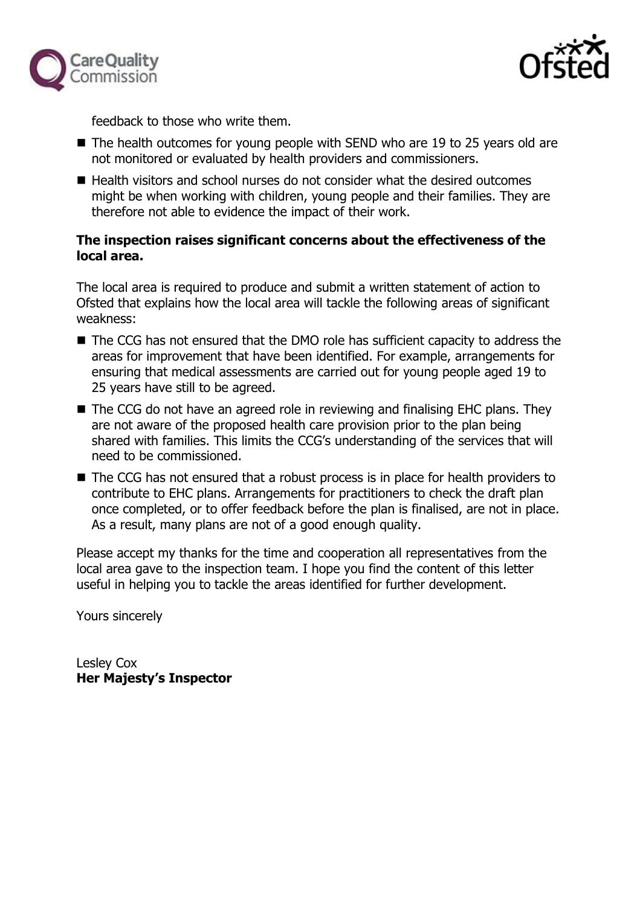



feedback to those who write them.

- The health outcomes for young people with SEND who are 19 to 25 years old are not monitored or evaluated by health providers and commissioners.
- Health visitors and school nurses do not consider what the desired outcomes might be when working with children, young people and their families. They are therefore not able to evidence the impact of their work.

## **The inspection raises significant concerns about the effectiveness of the local area.**

The local area is required to produce and submit a written statement of action to Ofsted that explains how the local area will tackle the following areas of significant weakness:

- The CCG has not ensured that the DMO role has sufficient capacity to address the areas for improvement that have been identified. For example, arrangements for ensuring that medical assessments are carried out for young people aged 19 to 25 years have still to be agreed.
- The CCG do not have an agreed role in reviewing and finalising EHC plans. They are not aware of the proposed health care provision prior to the plan being shared with families. This limits the CCG's understanding of the services that will need to be commissioned.
- The CCG has not ensured that a robust process is in place for health providers to contribute to EHC plans. Arrangements for practitioners to check the draft plan once completed, or to offer feedback before the plan is finalised, are not in place. As a result, many plans are not of a good enough quality.

Please accept my thanks for the time and cooperation all representatives from the local area gave to the inspection team. I hope you find the content of this letter useful in helping you to tackle the areas identified for further development.

Yours sincerely

Lesley Cox **Her Majesty's Inspector**